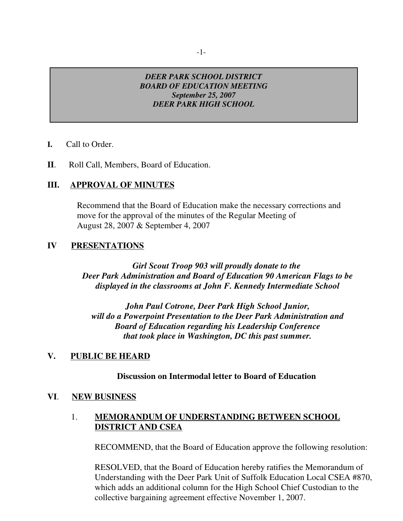## *DEER PARK SCHOOL DISTRICT BOARD OF EDUCATION MEETING September 25, 2007 DEER PARK HIGH SCHOOL*

- **I.** Call to Order.
- **II**. Roll Call, Members, Board of Education.

## **III. APPROVAL OF MINUTES**

Recommend that the Board of Education make the necessary corrections and move for the approval of the minutes of the Regular Meeting of August 28, 2007 & September 4, 2007

## **IV PRESENTATIONS**

*Girl Scout Troop 903 will proudly donate to the Deer Park Administration and Board of Education 90 American Flags to be displayed in the classrooms at John F. Kennedy Intermediate School*

*John Paul Cotrone, Deer Park High School Junior, will do a Powerpoint Presentation to the Deer Park Administration and Board of Education regarding his Leadership Conference that took place in Washington, DC this past summer.*

## **V. PUBLIC BE HEARD**

## **Discussion on Intermodal letter to Board of Education**

## **VI**. **NEW BUSINESS**

## 1. **MEMORANDUM OF UNDERSTANDING BETWEEN SCHOOL DISTRICT AND CSEA**

RECOMMEND, that the Board of Education approve the following resolution:

RESOLVED, that the Board of Education hereby ratifies the Memorandum of Understanding with the Deer Park Unit of Suffolk Education Local CSEA #870, which adds an additional column for the High School Chief Custodian to the collective bargaining agreement effective November 1, 2007.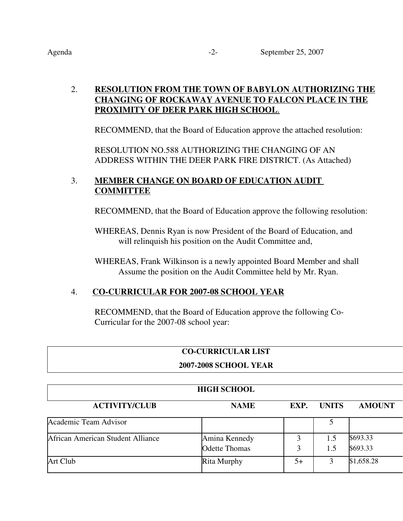## 2. **RESOLUTION FROM THE TOWN OF BABYLON AUTHORIZING THE CHANGING OF ROCKAWAY AVENUE TO FALCON PLACE IN THE PROXIMITY OF DEER PARK HIGH SCHOOL**.

RECOMMEND, that the Board of Education approve the attached resolution:

RESOLUTION NO.588 AUTHORIZING THE CHANGING OF AN ADDRESS WITHIN THE DEER PARK FIRE DISTRICT. (As Attached)

## 3. **MEMBER CHANGE ON BOARD OF EDUCATION AUDIT COMMITTEE**

RECOMMEND, that the Board of Education approve the following resolution:

WHEREAS, Dennis Ryan is now President of the Board of Education, and will relinquish his position on the Audit Committee and,

WHEREAS, Frank Wilkinson is a newly appointed Board Member and shall Assume the position on the Audit Committee held by Mr. Ryan.

## 4. **CO-CURRICULAR FOR 2007-08 SCHOOL YEAR**

RECOMMEND, that the Board of Education approve the following Co-Curricular for the 2007-08 school year:

## **CO-CURRICULAR LIST**

## **2007-2008 SCHOOL YEAR**

| <b>HIGH SCHOOL</b>                |                      |      |              |               |  |
|-----------------------------------|----------------------|------|--------------|---------------|--|
| <b>ACTIVITY/CLUB</b>              | <b>NAME</b>          | EXP. | <b>UNITS</b> | <b>AMOUNT</b> |  |
| Academic Team Advisor             |                      |      |              |               |  |
| African American Student Alliance | Amina Kennedy        |      | 1.5          | \$693.33      |  |
|                                   | <b>Odette Thomas</b> |      | 1.5          | \$693.33      |  |
| Art Club                          | <b>Rita Murphy</b>   | 5+   |              | \$1,658.28    |  |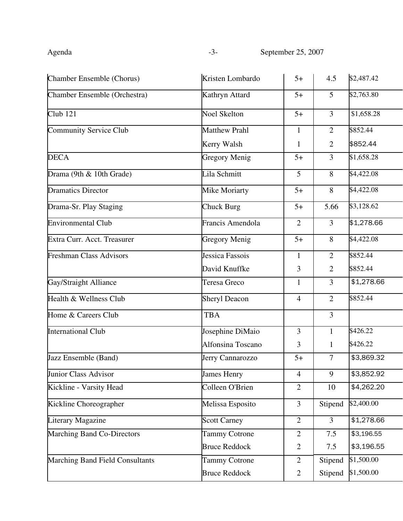| Kristen Lombardo     | $5+$           | 4.5            | \$2,487.42 |
|----------------------|----------------|----------------|------------|
| Kathryn Attard       | $5+$           | $\mathfrak{S}$ | \$2,763.80 |
| <b>Noel Skelton</b>  | $5+$           | $\mathfrak{Z}$ | \$1,658.28 |
| <b>Matthew Prahl</b> | 1              | 2              | \$852.44   |
| Kerry Walsh          | $\mathbf{1}$   | $\overline{2}$ | \$852.44   |
| <b>Gregory Menig</b> | $5+$           | 3              | \$1,658.28 |
| Lila Schmitt         | 5              | 8              | \$4,422.08 |
| <b>Mike Moriarty</b> | $5+$           | 8              | \$4,422.08 |
| <b>Chuck Burg</b>    | $5+$           | 5.66           | \$3,128.62 |
| Francis Amendola     | $\overline{2}$ | 3              | \$1,278.66 |
| <b>Gregory Menig</b> | $5+$           | 8              | \$4,422.08 |
| Jessica Fassois      | 1              | $\overline{2}$ | \$852.44   |
| David Knuffke        | 3              | $\overline{2}$ | \$852.44   |
| Teresa Greco         | $\mathbf{1}$   | $\overline{3}$ | \$1,278.66 |
| <b>Sheryl Deacon</b> | $\overline{4}$ | $\overline{2}$ | \$852.44   |
| <b>TBA</b>           |                | $\overline{3}$ |            |
| Josephine DiMaio     | $\overline{3}$ | $\mathbf{1}$   | \$426.22   |
| Alfonsina Toscano    | 3              | $\mathbf{1}$   | \$426.22   |
| Jerry Cannarozzo     | $5+$           | 7              | \$3,869.32 |
| <b>James Henry</b>   | $\overline{4}$ | 9              | \$3,852.92 |
| Colleen O'Brien      | $\overline{2}$ | 10             | \$4,262.20 |
| Melissa Esposito     | $\overline{3}$ | Stipend        | \$2,400.00 |
| <b>Scott Carney</b>  | $\overline{2}$ | $\overline{3}$ | \$1,278.66 |
| <b>Tammy Cotrone</b> | $\overline{2}$ | 7.5            | \$3,196.55 |
| <b>Bruce Reddock</b> | $\overline{2}$ | 7.5            | \$3,196.55 |
| <b>Tammy Cotrone</b> | $\overline{2}$ | Stipend        | \$1,500.00 |
| <b>Bruce Reddock</b> | $\overline{2}$ | Stipend        | \$1,500.00 |
|                      |                |                |            |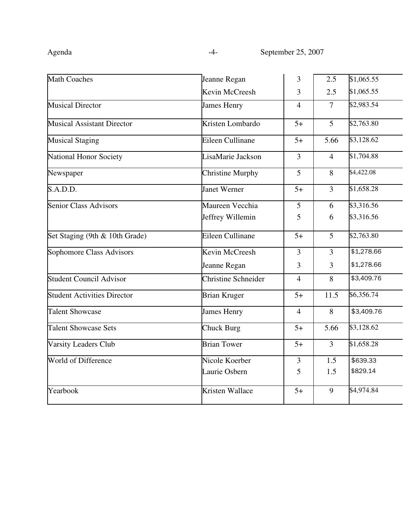| <b>Math Coaches</b>                | Jeanne Regan               | 3              | 2.5            | \$1,065.55 |
|------------------------------------|----------------------------|----------------|----------------|------------|
|                                    | Kevin McCreesh             | 3              | 2.5            | \$1,065.55 |
| <b>Musical Director</b>            | James Henry                | $\overline{4}$ | $\overline{7}$ | \$2,983.54 |
| <b>Musical Assistant Director</b>  | Kristen Lombardo           | $5+$           | 5              | \$2,763.80 |
| <b>Musical Staging</b>             | Eileen Cullinane           | $5+$           | 5.66           | \$3,128.62 |
| National Honor Society             | LisaMarie Jackson          | $\overline{3}$ | $\overline{4}$ | \$1,704.88 |
| Newspaper                          | <b>Christine Murphy</b>    | $\overline{5}$ | 8              | \$4,422.08 |
| S.A.D.D.                           | <b>Janet Werner</b>        | $5+$           | $\overline{3}$ | \$1,658.28 |
| <b>Senior Class Advisors</b>       | Maureen Vecchia            | 5              | 6              | \$3,316.56 |
|                                    | Jeffrey Willemin           | 5              | 6              | \$3,316.56 |
| Set Staging (9th & 10th Grade)     | Eileen Cullinane           | $5+$           | 5              | \$2,763.80 |
| Sophomore Class Advisors           | Kevin McCreesh             | $\overline{3}$ | $\overline{3}$ | \$1,278.66 |
|                                    | Jeanne Regan               | $\overline{3}$ | 3              | \$1,278.66 |
| <b>Student Council Advisor</b>     | <b>Christine Schneider</b> | $\overline{4}$ | 8              | \$3,409.76 |
| <b>Student Activities Director</b> | <b>Brian Kruger</b>        | $5+$           | 11.5           | \$6,356.74 |
| <b>Talent Showcase</b>             | <b>James Henry</b>         | $\overline{4}$ | 8              | \$3,409.76 |
| <b>Talent Showcase Sets</b>        | <b>Chuck Burg</b>          | $5+$           | 5.66           | \$3,128.62 |
| Varsity Leaders Club               | <b>Brian Tower</b>         | $5+$           | 3              | \$1,658.28 |
| World of Difference                | Nicole Koerber             | $\overline{3}$ | 1.5            | \$639.33   |
|                                    | Laurie Osbern              | 5              | 1.5            | \$829.14   |
| Yearbook                           | Kristen Wallace            | $5+$           | 9              | \$4,974.84 |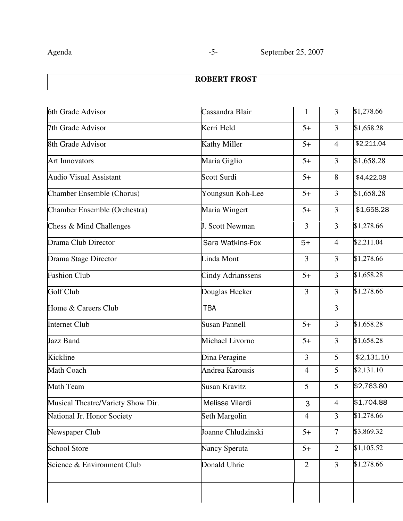# **ROBERT FROST**

| 6th Grade Advisor                 | Cassandra Blair<br>$\mathbf{1}$ |                | $\overline{3}$ | \$1,278.66 |  |
|-----------------------------------|---------------------------------|----------------|----------------|------------|--|
| 7th Grade Advisor                 | Kerri Held                      | $5+$           | 3              | \$1,658.28 |  |
| 8th Grade Advisor                 | <b>Kathy Miller</b>             | $5+$           | $\overline{4}$ | \$2,211.04 |  |
| <b>Art Innovators</b>             | Maria Giglio                    | $5+$           | 3              | \$1,658.28 |  |
| <b>Audio Visual Assistant</b>     | Scott Surdi                     | $5+$           | 8              | \$4,422.08 |  |
| Chamber Ensemble (Chorus)         | Youngsun Koh-Lee                | $5+$           | $\overline{3}$ | \$1,658.28 |  |
| Chamber Ensemble (Orchestra)      | Maria Wingert                   | $5+$           | $\overline{3}$ | \$1,658.28 |  |
| Chess & Mind Challenges           | J. Scott Newman                 | $\overline{3}$ | $\overline{3}$ | \$1,278.66 |  |
| Drama Club Director               | Sara Watkins-Fox                | $5+$           | $\overline{4}$ | \$2,211.04 |  |
| Drama Stage Director              | Linda Mont                      | $\overline{3}$ | $\overline{3}$ | \$1,278.66 |  |
| <b>Fashion Club</b>               | <b>Cindy Adrianssens</b>        | $5+$           | $\overline{3}$ | \$1,658.28 |  |
| Golf Club                         | Douglas Hecker                  | 3              | 3              | \$1,278.66 |  |
| Home & Careers Club               | <b>TBA</b>                      |                | $\overline{3}$ |            |  |
| <b>Internet Club</b>              | <b>Susan Pannell</b>            | $5+$           | $\overline{3}$ | \$1,658.28 |  |
| Jazz Band                         | Michael Livorno                 | $5+$           | $\overline{3}$ | \$1,658.28 |  |
| Kickline                          | Dina Peragine                   | $\overline{3}$ | $\overline{5}$ | \$2,131.10 |  |
| Math Coach                        | Andrea Karousis                 | $\overline{4}$ | 5              | \$2,131.10 |  |
| <b>Math Team</b>                  | <b>Susan Kravitz</b>            | 5              | 5              | \$2,763.80 |  |
| Musical Theatre/Variety Show Dir. | Melissa Vilardi                 | 3              | 4              | \$1,704.88 |  |
| National Jr. Honor Society        | Seth Margolin                   | $\overline{4}$ | $\overline{3}$ | \$1,278.66 |  |
| Newspaper Club                    | Joanne Chludzinski              | $5+$           | $\overline{7}$ | \$3,869.32 |  |
| <b>School Store</b>               | Nancy Speruta                   | $5+$           | $\overline{2}$ | \$1,105.52 |  |
| Science & Environment Club        | Donald Uhrie                    | 2              | $\overline{3}$ | \$1,278.66 |  |
|                                   |                                 |                |                |            |  |
|                                   |                                 |                |                |            |  |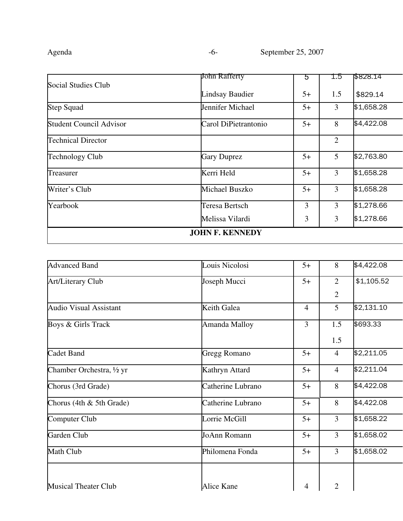|                                | John Rafferty          | 5    | 1.5            | \$828.14   |
|--------------------------------|------------------------|------|----------------|------------|
| Social Studies Club            |                        |      |                |            |
|                                | <b>Lindsay Baudier</b> | $5+$ | 1.5            | \$829.14   |
| <b>Step Squad</b>              | Jennifer Michael       | $5+$ | 3              | \$1,658.28 |
| <b>Student Council Advisor</b> | Carol DiPietrantonio   | $5+$ | 8              | \$4,422.08 |
| <b>Technical Director</b>      |                        |      | $\overline{2}$ |            |
| <b>Technology Club</b>         | <b>Gary Duprez</b>     | $5+$ | 5              | \$2,763.80 |
| Treasurer                      | Kerri Held             | $5+$ | 3              | \$1,658.28 |
| Writer's Club                  | <b>Michael Buszko</b>  | $5+$ | 3              | \$1,658.28 |
| Yearbook                       | Teresa Bertsch         | 3    | 3              | \$1,278.66 |
|                                | Melissa Vilardi        | 3    | 3              | \$1,278.66 |
|                                | <b>JOHN F. KENNEDY</b> |      |                |            |
|                                |                        |      |                |            |

| <b>Advanced Band</b>          | Louis Nicolosi    | $5+$           | 8               | \$4,422.08 |
|-------------------------------|-------------------|----------------|-----------------|------------|
| <b>Art/Literary Club</b>      | Joseph Mucci      | $5+$           | $\overline{2}$  | \$1,105.52 |
|                               |                   |                | $\overline{2}$  |            |
| <b>Audio Visual Assistant</b> | Keith Galea       | $\overline{4}$ | $5\overline{)}$ | \$2,131.10 |
| Boys & Girls Track            | Amanda Malloy     | 3              | 1.5             | \$693.33   |
|                               |                   |                | 1.5             |            |
| Cadet Band                    | Gregg Romano      | $5+$           | $\overline{4}$  | \$2,211.05 |
| Chamber Orchestra, 1/2 yr     | Kathryn Attard    | $5+$           | $\overline{4}$  | \$2,211.04 |
| Chorus (3rd Grade)            | Catherine Lubrano | $5+$           | 8               | \$4,422.08 |
| Chorus (4th & 5th Grade)      | Catherine Lubrano | $5+$           | 8               | \$4,422.08 |
| Computer Club                 | Lorrie McGill     | $5+$           | 3               | \$1,658.22 |
| Garden Club                   | JoAnn Romann      | $5+$           | 3               | \$1,658.02 |
| Math Club                     | Philomena Fonda   | $5+$           | 3               | \$1,658.02 |
|                               |                   |                |                 |            |
| <b>Musical Theater Club</b>   | Alice Kane        | 4              | $\overline{2}$  |            |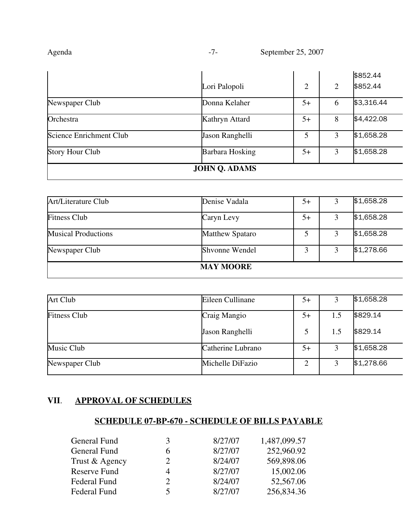| genga |
|-------|
|-------|

|                         |                      |      |                | \$852.44   |
|-------------------------|----------------------|------|----------------|------------|
|                         | Lori Palopoli        | 2    | $\overline{2}$ | \$852.44   |
| Newspaper Club          | Donna Kelaher        | $5+$ | 6              | \$3,316.44 |
| Orchestra               | Kathryn Attard       | $5+$ | 8              | \$4,422.08 |
| Science Enrichment Club | Jason Ranghelli      | 5    | 3              | \$1,658.28 |
| <b>Story Hour Club</b>  | Barbara Hosking      | $5+$ | 3              | \$1,658.28 |
|                         | <b>JOHN Q. ADAMS</b> |      |                |            |

|                            | <b>MAY MOORE</b>       |      |            |
|----------------------------|------------------------|------|------------|
| Newspaper Club             | Shvonne Wendel         |      | \$1,278.66 |
| <b>Musical Productions</b> | <b>Matthew Spataro</b> |      | \$1,658.28 |
| <b>Fitness Club</b>        | Caryn Levy             | $5+$ | \$1,658.28 |
| Art/Literature Club        | Denise Vadala          | $5+$ | \$1,658.28 |

| Art Club            | Eileen Cullinane  | $5+$ |     | \$1,658.28 |
|---------------------|-------------------|------|-----|------------|
| <b>Fitness Club</b> | Craig Mangio      | $5+$ | 1.5 | \$829.14   |
|                     | Jason Ranghelli   | 5    | 1.5 | \$829.14   |
| Music Club          | Catherine Lubrano | $5+$ |     | \$1,658.28 |
| Newspaper Club      | Michelle DiFazio  |      |     | \$1,278.66 |

## **VII**. **APPROVAL OF SCHEDULES**

## **SCHEDULE 07-BP-670 - SCHEDULE OF BILLS PAYABLE**

| General Fund        | 3                           | 8/27/07 | 1,487,099.57 |
|---------------------|-----------------------------|---------|--------------|
| General Fund        | 6                           | 8/27/07 | 252,960.92   |
| Trust & Agency      | $\mathcal{D}_{\mathcal{L}}$ | 8/24/07 | 569,898.06   |
| <b>Reserve Fund</b> | 4                           | 8/27/07 | 15,002.06    |
| Federal Fund        | $\mathcal{D}_{\mathcal{A}}$ | 8/24/07 | 52,567.06    |
| Federal Fund        | 5                           | 8/27/07 | 256,834.36   |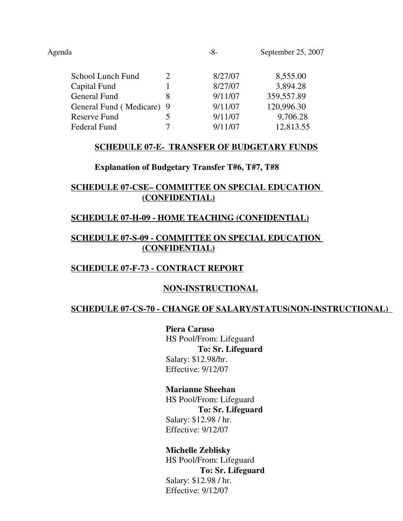|                           | 8/27/07 | 8,555.00   |
|---------------------------|---------|------------|
|                           | 8/27/07 | 3,894.28   |
| 8                         | 9/11/07 | 359,557.89 |
| General Fund (Medicare) 9 | 9/11/07 | 120,996.30 |
|                           | 9/11/07 | 9,706.28   |
|                           | 9/11/07 | 12,813.55  |
|                           |         |            |

## **SCHEDULE 07-E- TRANSFER OF BUDGETARY FUNDS**

### **Explanation of Budgetary Transfer T#6, T#7, T#8**

## **SCHEDULE 07-CSE– COMMITTEE ON SPECIAL EDUCATION (CONFIDENTIAL)**

## **SCHEDULE 07-H-09 - HOME TEACHING (CONFIDENTIAL)**

## **SCHEDULE 07-S-09 - COMMITTEE ON SPECIAL EDUCATION (CONFIDENTIAL)**

## **SCHEDULE 07-F-73 - CONTRACT REPORT**

## **NON-INSTRUCTIONAL**

## **SCHEDULE 07-CS-70 - CHANGE OF SALARY/STATUS(NON-INSTRUCTIONAL)**

**Piera Caruso** HS Pool/From: Lifeguard  **To: Sr. Lifeguard** Salary: \$12.98/hr. Effective: 9/12/07

### **Marianne Sheehan**

HS Pool/From: Lifeguard  **To: Sr. Lifeguard** Salary: \$12.98 / hr. Effective: 9/12/07

## **Michelle Zeblisky**

HS Pool/From: Lifeguard  **To: Sr. Lifeguard** Salary: \$12.98 / hr. Effective: 9/12/07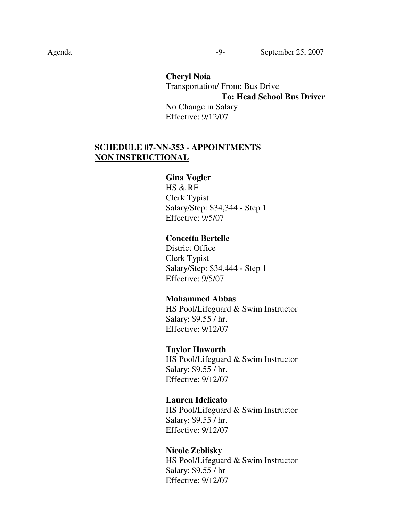**Cheryl Noia** Transportation/ From: Bus Drive **To: Head School Bus Driver** No Change in Salary Effective: 9/12/07

## **SCHEDULE 07-NN-353 - APPOINTMENTS NON INSTRUCTIONAL**

#### **Gina Vogler**

HS & RF Clerk Typist Salary/Step: \$34,344 - Step 1 Effective: 9/5/07

### **Concetta Bertelle**

District Office Clerk Typist Salary/Step: \$34,444 - Step 1 Effective: 9/5/07

#### **Mohammed Abbas**

HS Pool/Lifeguard & Swim Instructor Salary: \$9.55 / hr. Effective: 9/12/07

#### **Taylor Haworth**

HS Pool/Lifeguard & Swim Instructor Salary: \$9.55 / hr. Effective: 9/12/07

#### **Lauren Idelicato**

HS Pool/Lifeguard & Swim Instructor Salary: \$9.55 / hr. Effective: 9/12/07

#### **Nicole Zeblisky**

HS Pool/Lifeguard & Swim Instructor Salary: \$9.55 / hr Effective: 9/12/07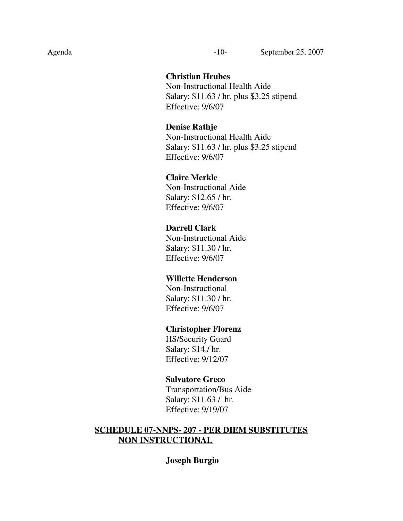### **Christian Hrubes**

Non-Instructional Health Aide Salary: \$11.63 / hr. plus \$3.25 stipend Effective: 9/6/07

### **Denise Rathje**

Non-Instructional Health Aide Salary: \$11.63 / hr. plus \$3.25 stipend Effective: 9/6/07

## **Claire Merkle**

Non-Instructional Aide Salary: \$12.65 / hr. Effective: 9/6/07

## **Darrell Clark**

Non-Instructional Aide Salary: \$11.30 / hr. Effective: 9/6/07

### **Willette Henderson**

Non-Instructional Salary: \$11.30 / hr. Effective: 9/6/07

#### **Christopher Florenz**

HS/Security Guard Salary: \$14./ hr. Effective: 9/12/07

#### **Salvatore Greco**

Transportation/Bus Aide Salary: \$11.63 / hr. Effective: 9/19/07

## **SCHEDULE 07-NNPS- 207 - PER DIEM SUBSTITUTES NON INSTRUCTIONAL**

### **Joseph Burgio**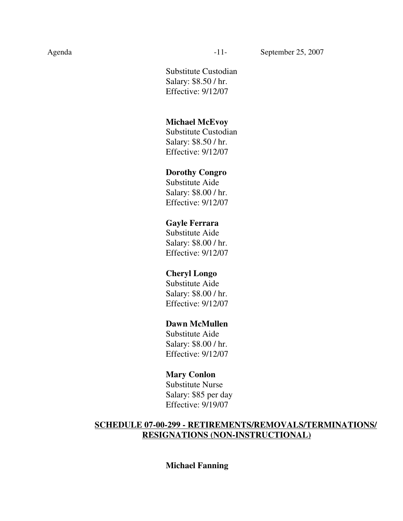Substitute Custodian Salary: \$8.50 / hr. Effective: 9/12/07

#### **Michael McEvoy**

Substitute Custodian Salary: \$8.50 / hr. Effective: 9/12/07

## **Dorothy Congro**

Substitute Aide Salary: \$8.00 / hr. Effective: 9/12/07

### **Gayle Ferrara**

Substitute Aide Salary: \$8.00 / hr. Effective: 9/12/07

### **Cheryl Longo**

Substitute Aide Salary: \$8.00 / hr. Effective: 9/12/07

### **Dawn McMullen**

Substitute Aide Salary: \$8.00 / hr. Effective: 9/12/07

### **Mary Conlon**

Substitute Nurse Salary: \$85 per day Effective: 9/19/07

## **SCHEDULE 07-00-299 - RETIREMENTS/REMOVALS/TERMINATIONS/ RESIGNATIONS (NON-INSTRUCTIONAL)**

### **Michael Fanning**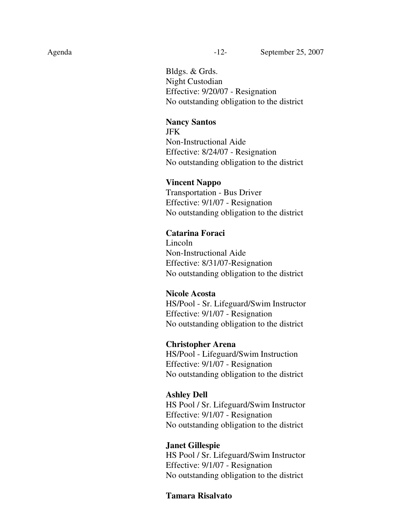Bldgs. & Grds. Night Custodian Effective: 9/20/07 - Resignation No outstanding obligation to the district

#### **Nancy Santos**

JFK Non-Instructional Aide Effective: 8/24/07 - Resignation No outstanding obligation to the district

#### **Vincent Nappo**

Transportation - Bus Driver Effective: 9/1/07 - Resignation No outstanding obligation to the district

#### **Catarina Foraci**

Lincoln Non-Instructional Aide Effective: 8/31/07-Resignation No outstanding obligation to the district

#### **Nicole Acosta**

HS/Pool - Sr. Lifeguard/Swim Instructor Effective: 9/1/07 - Resignation No outstanding obligation to the district

#### **Christopher Arena**

HS/Pool - Lifeguard/Swim Instruction Effective: 9/1/07 - Resignation No outstanding obligation to the district

#### **Ashley Dell**

HS Pool / Sr. Lifeguard/Swim Instructor Effective: 9/1/07 - Resignation No outstanding obligation to the district

#### **Janet Gillespie**

HS Pool / Sr. Lifeguard/Swim Instructor Effective: 9/1/07 - Resignation No outstanding obligation to the district

#### **Tamara Risalvato**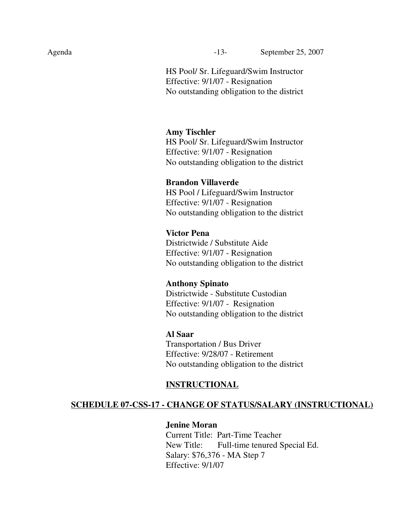HS Pool/ Sr. Lifeguard/Swim Instructor Effective: 9/1/07 - Resignation No outstanding obligation to the district

#### **Amy Tischler**

HS Pool/ Sr. Lifeguard/Swim Instructor Effective: 9/1/07 - Resignation No outstanding obligation to the district

### **Brandon Villaverde**

HS Pool / Lifeguard/Swim Instructor Effective: 9/1/07 - Resignation No outstanding obligation to the district

### **Victor Pena**

Districtwide / Substitute Aide Effective: 9/1/07 - Resignation No outstanding obligation to the district

#### **Anthony Spinato**

Districtwide - Substitute Custodian Effective: 9/1/07 - Resignation No outstanding obligation to the district

#### **Al Saar**

Transportation / Bus Driver Effective: 9/28/07 - Retirement No outstanding obligation to the district

### **INSTRUCTIONAL**

### **SCHEDULE 07-CSS-17 - CHANGE OF STATUS/SALARY (INSTRUCTIONAL)**

### **Jenine Moran**

Current Title: Part-Time Teacher New Title: Full-time tenured Special Ed. Salary: \$76,376 - MA Step 7 Effective: 9/1/07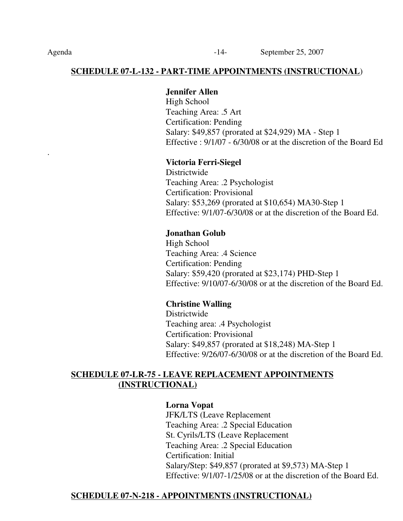## **SCHEDULE 07-L-132 - PART-TIME APPOINTMENTS (INSTRUCTIONAL**)

## **Jennifer Allen**

High School Teaching Area: .5 Art Certification: Pending Salary: \$49,857 (prorated at \$24,929) MA - Step 1 Effective : 9/1/07 - 6/30/08 or at the discretion of the Board Ed

## **Victoria Ferri-Siegel**

**Districtwide** Teaching Area: .2 Psychologist Certification: Provisional Salary: \$53,269 (prorated at \$10,654) MA30-Step 1 Effective: 9/1/07-6/30/08 or at the discretion of the Board Ed.

## **Jonathan Golub**

High School Teaching Area: .4 Science Certification: Pending Salary: \$59,420 (prorated at \$23,174) PHD-Step 1 Effective: 9/10/07-6/30/08 or at the discretion of the Board Ed.

## **Christine Walling**

Districtwide Teaching area: .4 Psychologist Certification: Provisional Salary: \$49,857 (prorated at \$18,248) MA-Step 1 Effective: 9/26/07-6/30/08 or at the discretion of the Board Ed.

## **SCHEDULE 07-LR-75 - LEAVE REPLACEMENT APPOINTMENTS (INSTRUCTIONAL)**

## **Lorna Vopat**

JFK/LTS (Leave Replacement Teaching Area: .2 Special Education St. Cyrils/LTS (Leave Replacement Teaching Area: .2 Special Education Certification: Initial Salary/Step: \$49,857 (prorated at \$9,573) MA-Step 1 Effective: 9/1/07-1/25/08 or at the discretion of the Board Ed.

## **SCHEDULE 07-N-218 - APPOINTMENTS (INSTRUCTIONAL)**

.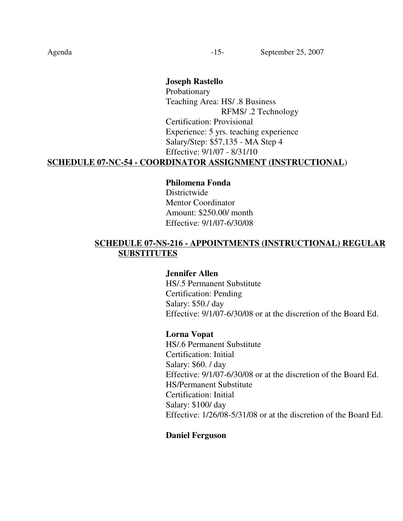## **Joseph Rastello** Probationary Teaching Area: HS/ .8 Business RFMS/ .2 Technology Certification: Provisional Experience: 5 yrs. teaching experience Salary/Step: \$57,135 - MA Step 4 Effective: 9/1/07 - 8/31/10

## **SCHEDULE 07-NC-54 - COORDINATOR ASSIGNMENT (INSTRUCTIONAL**)

## **Philomena Fonda** Districtwide Mentor Coordinator Amount: \$250.00/ month Effective: 9/1/07-6/30/08

## **SCHEDULE 07-NS-216 - APPOINTMENTS (INSTRUCTIONAL) REGULAR SUBSTITUTES**

### **Jennifer Allen**

HS/.5 Permanent Substitute Certification: Pending Salary: \$50./ day Effective: 9/1/07-6/30/08 or at the discretion of the Board Ed.

### **Lorna Vopat**

HS/.6 Permanent Substitute Certification: Initial Salary: \$60. / day Effective: 9/1/07-6/30/08 or at the discretion of the Board Ed. HS/Permanent Substitute Certification: Initial Salary: \$100/ day Effective: 1/26/08-5/31/08 or at the discretion of the Board Ed.

### **Daniel Ferguson**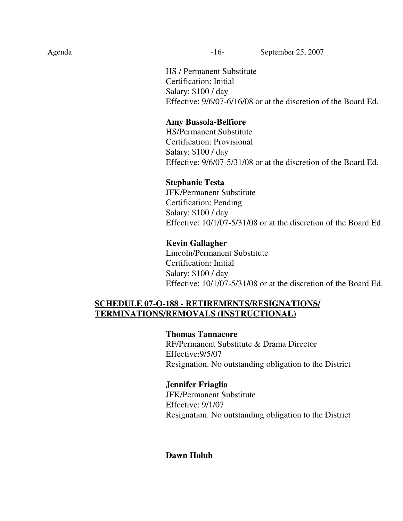Agenda -16- September 25, 2007

HS / Permanent Substitute Certification: Initial Salary: \$100 / day Effective: 9/6/07-6/16/08 or at the discretion of the Board Ed.

## **Amy Bussola-Belfiore**

HS/Permanent Substitute Certification: Provisional Salary: \$100 / day Effective: 9/6/07-5/31/08 or at the discretion of the Board Ed.

### **Stephanie Testa**

JFK/Permanent Substitute Certification: Pending Salary: \$100 / day Effective: 10/1/07-5/31/08 or at the discretion of the Board Ed.

## **Kevin Gallagher**

Lincoln/Permanent Substitute Certification: Initial Salary: \$100 / day Effective: 10/1/07-5/31/08 or at the discretion of the Board Ed.

## **SCHEDULE 07-O-188 - RETIREMENTS/RESIGNATIONS/ TERMINATIONS/REMOVALS (INSTRUCTIONAL)**

### **Thomas Tannacore**

RF/Permanent Substitute & Drama Director Effective:9/5/07 Resignation. No outstanding obligation to the District

## **Jennifer Friaglia**

JFK/Permanent Substitute Effective: 9/1/07 Resignation. No outstanding obligation to the District

## **Dawn Holub**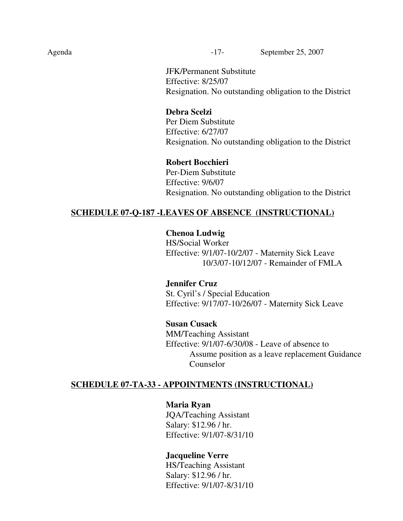Agenda -17- September 25, 2007

JFK/Permanent Substitute Effective: 8/25/07 Resignation. No outstanding obligation to the District

### **Debra Scelzi**

Per Diem Substitute Effective: 6/27/07 Resignation. No outstanding obligation to the District

#### **Robert Bocchieri**

Per-Diem Substitute Effective: 9/6/07 Resignation. No outstanding obligation to the District

## **SCHEDULE 07-Q-187 -LEAVES OF ABSENCE (INSTRUCTIONAL)**

**Chenoa Ludwig**

HS/Social Worker Effective: 9/1/07-10/2/07 - Maternity Sick Leave 10/3/07-10/12/07 - Remainder of FMLA

**Jennifer Cruz** St. Cyril's / Special Education Effective: 9/17/07-10/26/07 - Maternity Sick Leave

### **Susan Cusack**

MM/Teaching Assistant Effective: 9/1/07-6/30/08 - Leave of absence to Assume position as a leave replacement Guidance Counselor

### **SCHEDULE 07-TA-33 - APPOINTMENTS (INSTRUCTIONAL)**

**Maria Ryan** JQA/Teaching Assistant Salary: \$12.96 / hr. Effective: 9/1/07-8/31/10

### **Jacqueline Verre**

HS/Teaching Assistant Salary: \$12.96 / hr. Effective: 9/1/07-8/31/10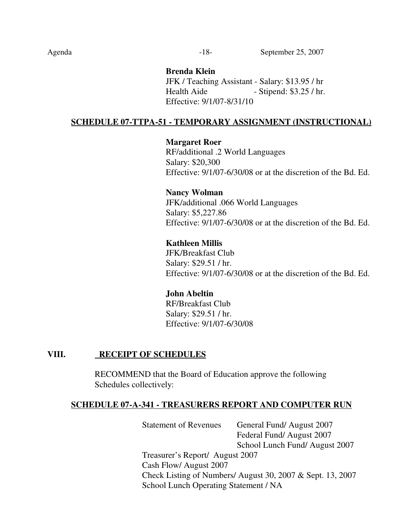### **Brenda Klein**

JFK / Teaching Assistant - Salary: \$13.95 / hr Health Aide - Stipend: \$3.25 / hr. Effective: 9/1/07-8/31/10

## **SCHEDULE 07-TTPA-51 - TEMPORARY ASSIGNMENT (INSTRUCTIONAL)**

**Margaret Roer** RF/additional .2 World Languages Salary: \$20,300 Effective: 9/1/07-6/30/08 or at the discretion of the Bd. Ed.

**Nancy Wolman** JFK/additional .066 World Languages Salary: \$5,227.86 Effective: 9/1/07-6/30/08 or at the discretion of the Bd. Ed.

## **Kathleen Millis**

JFK/Breakfast Club Salary: \$29.51 / hr. Effective: 9/1/07-6/30/08 or at the discretion of the Bd. Ed.

### **John Abeltin**

RF/Breakfast Club Salary: \$29.51 / hr. Effective: 9/1/07-6/30/08

## **VIII. RECEIPT OF SCHEDULES**

RECOMMEND that the Board of Education approve the following Schedules collectively:

## **SCHEDULE 07-A-341 - TREASURERS REPORT AND COMPUTER RUN**

Statement of Revenues General Fund/ August 2007 Federal Fund/ August 2007 School Lunch Fund/ August 2007 Treasurer's Report/ August 2007 Cash Flow/ August 2007 Check Listing of Numbers/ August 30, 2007 & Sept. 13, 2007 School Lunch Operating Statement / NA